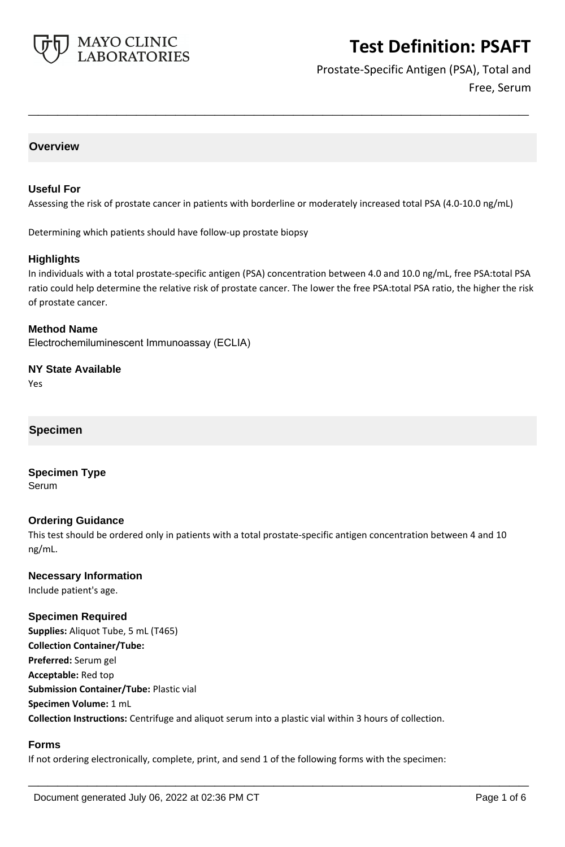

Prostate-Specific Antigen (PSA), Total and Free, Serum

# **Overview**

## **Useful For**

Assessing the risk of prostate cancer in patients with borderline or moderately increased total PSA (4.0-10.0 ng/mL)

**\_\_\_\_\_\_\_\_\_\_\_\_\_\_\_\_\_\_\_\_\_\_\_\_\_\_\_\_\_\_\_\_\_\_\_\_\_\_\_\_\_\_\_\_\_\_\_\_\_\_\_**

Determining which patients should have follow-up prostate biopsy

## **Highlights**

In individuals with a total prostate-specific antigen (PSA) concentration between 4.0 and 10.0 ng/mL, free PSA:total PSA ratio could help determine the relative risk of prostate cancer. The lower the free PSA:total PSA ratio, the higher the risk of prostate cancer.

**Method Name**

Electrochemiluminescent Immunoassay (ECLIA)

**NY State Available** Yes

# **Specimen**

**Specimen Type** Serum

## **Ordering Guidance**

This test should be ordered only in patients with a total prostate-specific antigen concentration between 4 and 10 ng/mL.

## **Necessary Information**

Include patient's age.

## **Specimen Required**

**Supplies:** Aliquot Tube, 5 mL (T465) **Collection Container/Tube: Preferred:** Serum gel **Acceptable:** Red top **Submission Container/Tube:** Plastic vial **Specimen Volume:** 1 mL **Collection Instructions:** Centrifuge and aliquot serum into a plastic vial within 3 hours of collection.

## **Forms**

If not ordering electronically, complete, print, and send 1 of the following forms with the specimen: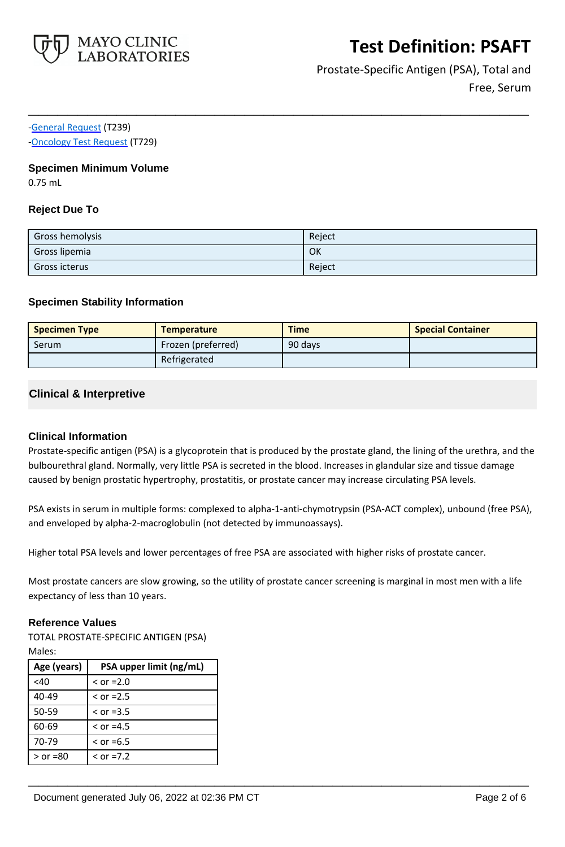

Prostate-Specific Antigen (PSA), Total and Free, Serum

[-General Request](https://www.mayocliniclabs.com/it-mmfiles/general-request-form.pdf) (T239)

[-Oncology Test Request](https://www.mayocliniclabs.com/it-mmfiles/oncology-request-form.pdf) (T729)

## **Specimen Minimum Volume**

0.75 mL

# **Reject Due To**

| Gross hemolysis      | Reject |
|----------------------|--------|
| Gross lipemia        | OK     |
| <b>Gross icterus</b> | Reject |

**\_\_\_\_\_\_\_\_\_\_\_\_\_\_\_\_\_\_\_\_\_\_\_\_\_\_\_\_\_\_\_\_\_\_\_\_\_\_\_\_\_\_\_\_\_\_\_\_\_\_\_**

# **Specimen Stability Information**

| <b>Specimen Type</b> | <b>Temperature</b> | <b>Time</b> | <b>Special Container</b> |
|----------------------|--------------------|-------------|--------------------------|
| <b>Serum</b>         | Frozen (preferred) | 90 days     |                          |
|                      | Refrigerated       |             |                          |

# **Clinical & Interpretive**

## **Clinical Information**

Prostate-specific antigen (PSA) is a glycoprotein that is produced by the prostate gland, the lining of the urethra, and the bulbourethral gland. Normally, very little PSA is secreted in the blood. Increases in glandular size and tissue damage caused by benign prostatic hypertrophy, prostatitis, or prostate cancer may increase circulating PSA levels.

PSA exists in serum in multiple forms: complexed to alpha-1-anti-chymotrypsin (PSA-ACT complex), unbound (free PSA), and enveloped by alpha-2-macroglobulin (not detected by immunoassays).

Higher total PSA levels and lower percentages of free PSA are associated with higher risks of prostate cancer.

Most prostate cancers are slow growing, so the utility of prostate cancer screening is marginal in most men with a life expectancy of less than 10 years.

**\_\_\_\_\_\_\_\_\_\_\_\_\_\_\_\_\_\_\_\_\_\_\_\_\_\_\_\_\_\_\_\_\_\_\_\_\_\_\_\_\_\_\_\_\_\_\_\_\_\_\_**

## **Reference Values**

TOTAL PROSTATE-SPECIFIC ANTIGEN (PSA)

Males:

| Age (years) | PSA upper limit (ng/mL) |
|-------------|-------------------------|
| <40         | $>$ or =2.0             |
| 40-49       | $>$ or =2.5             |
| $50 - 59$   | $>$ or =3.5             |
| 60-69       | $\le$ or =4.5           |
| 70-79       | $\le$ or =6.5           |
| $>$ or =80  | $>$ or =7.2             |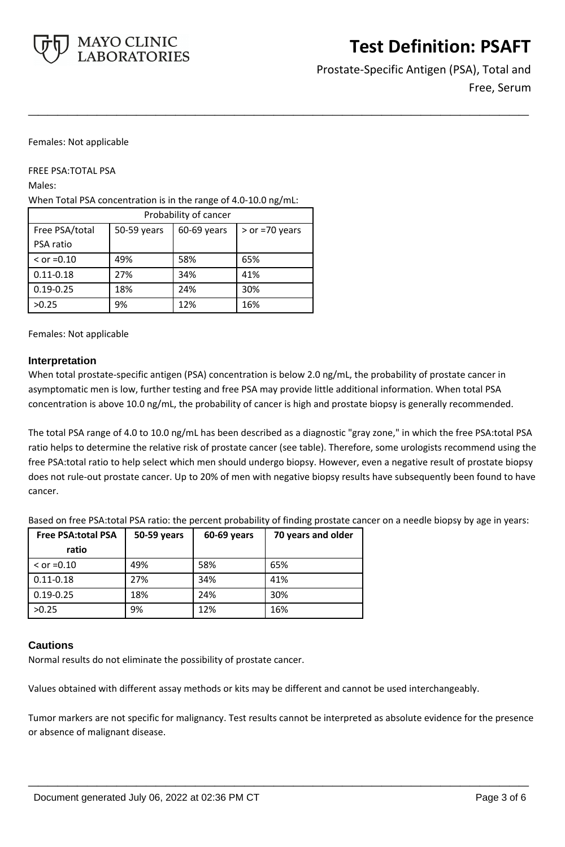

Prostate-Specific Antigen (PSA), Total and Free, Serum

#### Females: Not applicable

FREE PSA:TOTAL PSA

Males:

When Total PSA concentration is in the range of 4.0-10.0 ng/mL:

| Probability of cancer |             |             |                  |
|-----------------------|-------------|-------------|------------------|
| Free PSA/total        | 50-59 years | 60-69 years | $>$ or =70 years |
| PSA ratio             |             |             |                  |
| $>$ or =0.10          | 49%         | 58%         | 65%              |
| $0.11 - 0.18$         | 27%         | 34%         | 41%              |
| $0.19 - 0.25$         | 18%         | 24%         | 30%              |
| >0.25                 | 9%          | 12%         | 16%              |

Females: Not applicable

## **Interpretation**

When total prostate-specific antigen (PSA) concentration is below 2.0 ng/mL, the probability of prostate cancer in asymptomatic men is low, further testing and free PSA may provide little additional information. When total PSA concentration is above 10.0 ng/mL, the probability of cancer is high and prostate biopsy is generally recommended.

**\_\_\_\_\_\_\_\_\_\_\_\_\_\_\_\_\_\_\_\_\_\_\_\_\_\_\_\_\_\_\_\_\_\_\_\_\_\_\_\_\_\_\_\_\_\_\_\_\_\_\_**

The total PSA range of 4.0 to 10.0 ng/mL has been described as a diagnostic "gray zone," in which the free PSA:total PSA ratio helps to determine the relative risk of prostate cancer (see table). Therefore, some urologists recommend using the free PSA:total ratio to help select which men should undergo biopsy. However, even a negative result of prostate biopsy does not rule-out prostate cancer. Up to 20% of men with negative biopsy results have subsequently been found to have cancer.

Based on free PSA:total PSA ratio: the percent probability of finding prostate cancer on a needle biopsy by age in years:

| <b>Free PSA:total PSA</b> | 50-59 years | 60-69 years | 70 years and older |
|---------------------------|-------------|-------------|--------------------|
| ratio                     |             |             |                    |
| $\le$ or =0.10            | 49%         | 58%         | 65%                |
| $0.11 - 0.18$             | 27%         | 34%         | 41%                |
| $0.19 - 0.25$             | 18%         | 24%         | 30%                |
| >0.25                     | 9%          | 12%         | 16%                |

## **Cautions**

Normal results do not eliminate the possibility of prostate cancer.

Values obtained with different assay methods or kits may be different and cannot be used interchangeably.

Tumor markers are not specific for malignancy. Test results cannot be interpreted as absolute evidence for the presence or absence of malignant disease.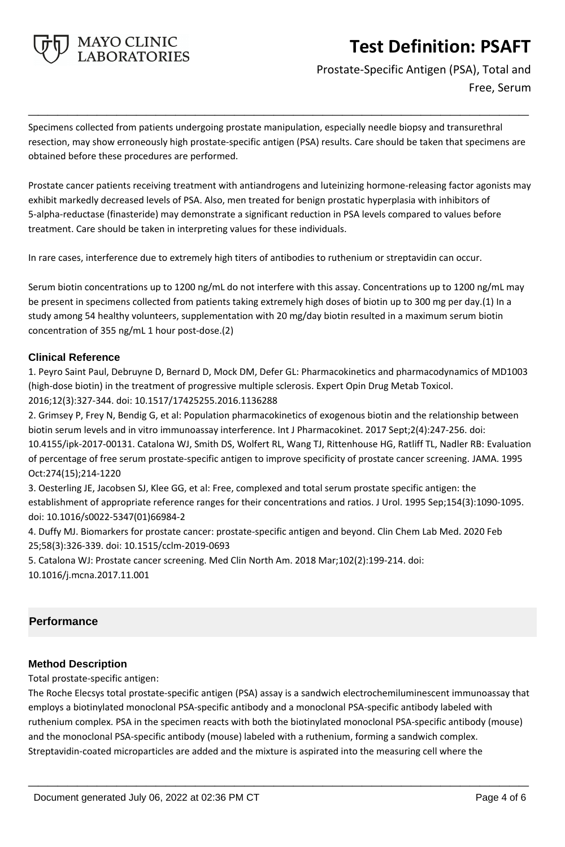

Prostate-Specific Antigen (PSA), Total and Free, Serum

Specimens collected from patients undergoing prostate manipulation, especially needle biopsy and transurethral resection, may show erroneously high prostate-specific antigen (PSA) results. Care should be taken that specimens are obtained before these procedures are performed.

**\_\_\_\_\_\_\_\_\_\_\_\_\_\_\_\_\_\_\_\_\_\_\_\_\_\_\_\_\_\_\_\_\_\_\_\_\_\_\_\_\_\_\_\_\_\_\_\_\_\_\_**

Prostate cancer patients receiving treatment with antiandrogens and luteinizing hormone-releasing factor agonists may exhibit markedly decreased levels of PSA. Also, men treated for benign prostatic hyperplasia with inhibitors of 5-alpha-reductase (finasteride) may demonstrate a significant reduction in PSA levels compared to values before treatment. Care should be taken in interpreting values for these individuals.

In rare cases, interference due to extremely high titers of antibodies to ruthenium or streptavidin can occur.

Serum biotin concentrations up to 1200 ng/mL do not interfere with this assay. Concentrations up to 1200 ng/mL may be present in specimens collected from patients taking extremely high doses of biotin up to 300 mg per day.(1) In a study among 54 healthy volunteers, supplementation with 20 mg/day biotin resulted in a maximum serum biotin concentration of 355 ng/mL 1 hour post-dose.(2)

# **Clinical Reference**

1. Peyro Saint Paul, Debruyne D, Bernard D, Mock DM, Defer GL: Pharmacokinetics and pharmacodynamics of MD1003 (high-dose biotin) in the treatment of progressive multiple sclerosis. Expert Opin Drug Metab Toxicol. 2016;12(3):327-344. doi: 10.1517/17425255.2016.1136288

2. Grimsey P, Frey N, Bendig G, et al: Population pharmacokinetics of exogenous biotin and the relationship between biotin serum levels and in vitro immunoassay interference. Int J Pharmacokinet. 2017 Sept;2(4):247-256. doi: 10.4155/ipk-2017-00131. Catalona WJ, Smith DS, Wolfert RL, Wang TJ, Rittenhouse HG, Ratliff TL, Nadler RB: Evaluation of percentage of free serum prostate-specific antigen to improve specificity of prostate cancer screening. JAMA. 1995 Oct:274(15);214-1220

3. Oesterling JE, Jacobsen SJ, Klee GG, et al: Free, complexed and total serum prostate specific antigen: the establishment of appropriate reference ranges for their concentrations and ratios. J Urol. 1995 Sep;154(3):1090-1095. doi: 10.1016/s0022-5347(01)66984-2

4. Duffy MJ. Biomarkers for prostate cancer: prostate-specific antigen and beyond. Clin Chem Lab Med. 2020 Feb 25;58(3):326-339. doi: 10.1515/cclm-2019-0693

5. Catalona WJ: Prostate cancer screening. Med Clin North Am. 2018 Mar;102(2):199-214. doi: 10.1016/j.mcna.2017.11.001

# **Performance**

# **Method Description**

Total prostate-specific antigen:

The Roche Elecsys total prostate-specific antigen (PSA) assay is a sandwich electrochemiluminescent immunoassay that employs a biotinylated monoclonal PSA-specific antibody and a monoclonal PSA-specific antibody labeled with ruthenium complex. PSA in the specimen reacts with both the biotinylated monoclonal PSA-specific antibody (mouse) and the monoclonal PSA-specific antibody (mouse) labeled with a ruthenium, forming a sandwich complex. Streptavidin-coated microparticles are added and the mixture is aspirated into the measuring cell where the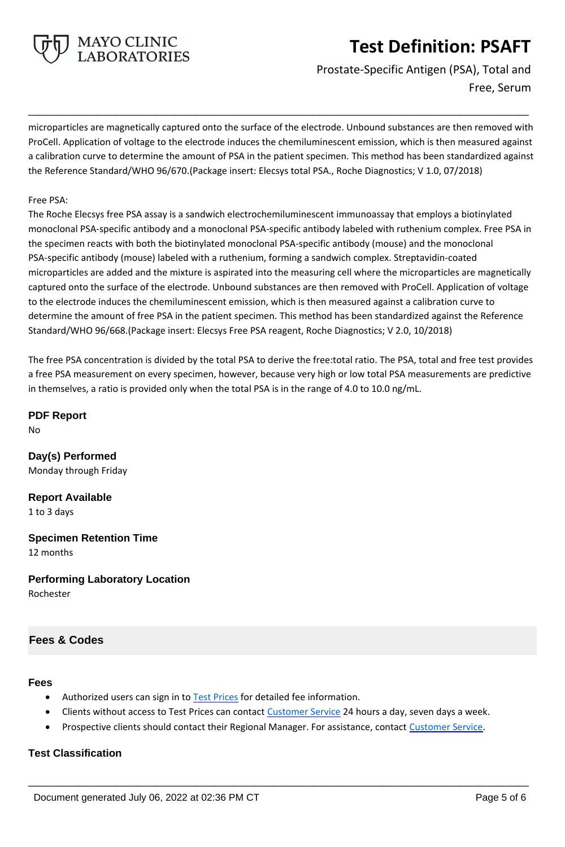

Prostate-Specific Antigen (PSA), Total and Free, Serum

microparticles are magnetically captured onto the surface of the electrode. Unbound substances are then removed with ProCell. Application of voltage to the electrode induces the chemiluminescent emission, which is then measured against a calibration curve to determine the amount of PSA in the patient specimen. This method has been standardized against the Reference Standard/WHO 96/670.(Package insert: Elecsys total PSA., Roche Diagnostics; V 1.0, 07/2018)

**\_\_\_\_\_\_\_\_\_\_\_\_\_\_\_\_\_\_\_\_\_\_\_\_\_\_\_\_\_\_\_\_\_\_\_\_\_\_\_\_\_\_\_\_\_\_\_\_\_\_\_**

#### Free PSA:

The Roche Elecsys free PSA assay is a sandwich electrochemiluminescent immunoassay that employs a biotinylated monoclonal PSA-specific antibody and a monoclonal PSA-specific antibody labeled with ruthenium complex. Free PSA in the specimen reacts with both the biotinylated monoclonal PSA-specific antibody (mouse) and the monoclonal PSA-specific antibody (mouse) labeled with a ruthenium, forming a sandwich complex. Streptavidin-coated microparticles are added and the mixture is aspirated into the measuring cell where the microparticles are magnetically captured onto the surface of the electrode. Unbound substances are then removed with ProCell. Application of voltage to the electrode induces the chemiluminescent emission, which is then measured against a calibration curve to determine the amount of free PSA in the patient specimen. This method has been standardized against the Reference Standard/WHO 96/668.(Package insert: Elecsys Free PSA reagent, Roche Diagnostics; V 2.0, 10/2018)

The free PSA concentration is divided by the total PSA to derive the free:total ratio. The PSA, total and free test provides a free PSA measurement on every specimen, however, because very high or low total PSA measurements are predictive in themselves, a ratio is provided only when the total PSA is in the range of 4.0 to 10.0 ng/mL.

**PDF Report** No

**Day(s) Performed** Monday through Friday

**Report Available** 1 to 3 days

**Specimen Retention Time** 12 months

**Performing Laboratory Location** Rochester

# **Fees & Codes**

#### **Fees**

- Authorized users can sign in to [Test Prices](https://www.mayocliniclabs.com/customer-service/client-price-lookup/index.html?unit_code=PSAFT) for detailed fee information.
- Clients without access to Test Prices can contact [Customer Service](http://www.mayocliniclabs.com/customer-service/contacts.html) 24 hours a day, seven days a week.
- Prospective clients should contact their Regional Manager. For assistance, contact [Customer Service.](http://www.mayocliniclabs.com/customer-service/contacts.html)

**\_\_\_\_\_\_\_\_\_\_\_\_\_\_\_\_\_\_\_\_\_\_\_\_\_\_\_\_\_\_\_\_\_\_\_\_\_\_\_\_\_\_\_\_\_\_\_\_\_\_\_**

# **Test Classification**